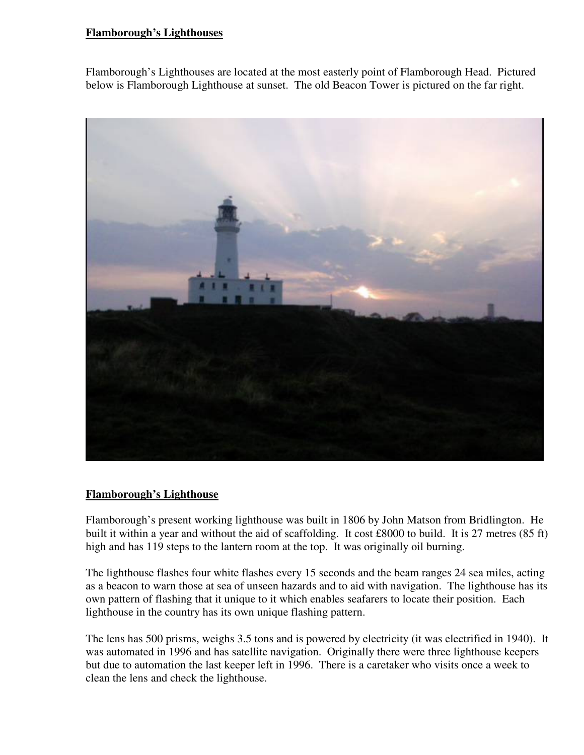## **Flamborough's Lighthouses**

Flamborough's Lighthouses are located at the most easterly point of Flamborough Head. Pictured below is Flamborough Lighthouse at sunset. The old Beacon Tower is pictured on the far right.



## **Flamborough's Lighthouse**

Flamborough's present working lighthouse was built in 1806 by John Matson from Bridlington. He built it within a year and without the aid of scaffolding. It cost £8000 to build. It is 27 metres (85 ft) high and has 119 steps to the lantern room at the top. It was originally oil burning.

The lighthouse flashes four white flashes every 15 seconds and the beam ranges 24 sea miles, acting as a beacon to warn those at sea of unseen hazards and to aid with navigation. The lighthouse has its own pattern of flashing that it unique to it which enables seafarers to locate their position. Each lighthouse in the country has its own unique flashing pattern.

The lens has 500 prisms, weighs 3.5 tons and is powered by electricity (it was electrified in 1940). It was automated in 1996 and has satellite navigation. Originally there were three lighthouse keepers but due to automation the last keeper left in 1996. There is a caretaker who visits once a week to clean the lens and check the lighthouse.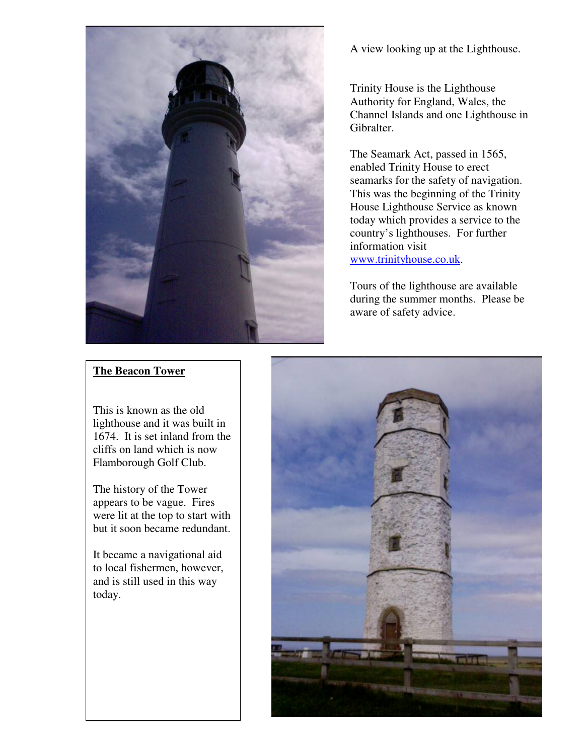

A view looking up at the Lighthouse.

Trinity House is the Lighthouse Authority for England, Wales, the Channel Islands and one Lighthouse in Gibralter.

The Seamark Act, passed in 1565, enabled Trinity House to erect seamarks for the safety of navigation. This was the beginning of the Trinity House Lighthouse Service as known today which provides a service to the country's lighthouses. For further information visit www.trinityhouse.co.uk.

Tours of the lighthouse are available during the summer months. Please be aware of safety advice.

## **The Beacon Tower**

This is known as the old lighthouse and it was built in 1674. It is set inland from the cliffs on land which is now Flamborough Golf Club.

The history of the Tower appears to be vague. Fires were lit at the top to start with but it soon became redundant.

It became a navigational aid to local fishermen, however, and is still used in this way today.

 $\overline{\phantom{a}}$